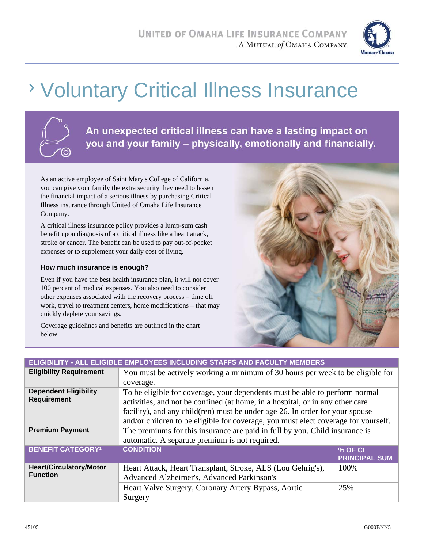

# Voluntary Critical Illness Insurance



An unexpected critical illness can have a lasting impact on you and your family - physically, emotionally and financially.

As an active employee of Saint Mary's College of California, you can give your family the extra security they need to lessen the financial impact of a serious illness by purchasing Critical Illness insurance through United of Omaha Life Insurance Company.

A critical illness insurance policy provides a lump-sum cash benefit upon diagnosis of a critical illness like a heart attack, stroke or cancer. The benefit can be used to pay out-of-pocket expenses or to supplement your daily cost of living.

#### **How much insurance is enough?**

Even if you have the best health insurance plan, it will not cover 100 percent of medical expenses. You also need to consider other expenses associated with the recovery process – time off work, travel to treatment centers, home modifications – that may quickly deplete your savings.

Coverage guidelines and benefits are outlined in the chart below.



| ELIGIBILITY - ALL ELIGIBLE EMPLOYEES INCLUDING STAFFS AND FACULTY MEMBERS |                                                                                    |                      |  |  |
|---------------------------------------------------------------------------|------------------------------------------------------------------------------------|----------------------|--|--|
| <b>Eligibility Requirement</b>                                            | You must be actively working a minimum of 30 hours per week to be eligible for     |                      |  |  |
|                                                                           | coverage.                                                                          |                      |  |  |
| <b>Dependent Eligibility</b>                                              | To be eligible for coverage, your dependents must be able to perform normal        |                      |  |  |
| <b>Requirement</b>                                                        | activities, and not be confined (at home, in a hospital, or in any other care      |                      |  |  |
|                                                                           | facility), and any child(ren) must be under age 26. In order for your spouse       |                      |  |  |
|                                                                           | and/or children to be eligible for coverage, you must elect coverage for yourself. |                      |  |  |
| <b>Premium Payment</b>                                                    | The premiums for this insurance are paid in full by you. Child insurance is        |                      |  |  |
|                                                                           | automatic. A separate premium is not required.                                     |                      |  |  |
| <b>BENEFIT CATEGORY1</b>                                                  | <b>CONDITION</b>                                                                   | % OF CI              |  |  |
|                                                                           |                                                                                    | <b>PRINCIPAL SUM</b> |  |  |
| <b>Heart/Circulatory/Motor</b><br><b>Function</b>                         | Heart Attack, Heart Transplant, Stroke, ALS (Lou Gehrig's),                        | 100%                 |  |  |
|                                                                           | Advanced Alzheimer's, Advanced Parkinson's                                         |                      |  |  |
|                                                                           | Heart Valve Surgery, Coronary Artery Bypass, Aortic                                | 25%                  |  |  |
|                                                                           | Surgery                                                                            |                      |  |  |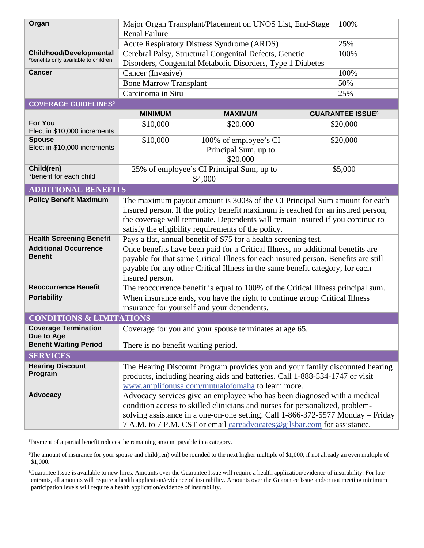| Organ                                                                  | Major Organ Transplant/Placement on UNOS List, End-Stage<br><b>Renal Failure</b>                                                                                                                                                                                                                                       |                                                           |  | 100%                    |
|------------------------------------------------------------------------|------------------------------------------------------------------------------------------------------------------------------------------------------------------------------------------------------------------------------------------------------------------------------------------------------------------------|-----------------------------------------------------------|--|-------------------------|
|                                                                        |                                                                                                                                                                                                                                                                                                                        | Acute Respiratory Distress Syndrome (ARDS)                |  | 25%                     |
| <b>Childhood/Developmental</b><br>*benefits only available to children | Cerebral Palsy, Structural Congenital Defects, Genetic<br>100%<br>Disorders, Congenital Metabolic Disorders, Type 1 Diabetes                                                                                                                                                                                           |                                                           |  |                         |
| <b>Cancer</b>                                                          | Cancer (Invasive)                                                                                                                                                                                                                                                                                                      |                                                           |  | 100%                    |
|                                                                        | <b>Bone Marrow Transplant</b>                                                                                                                                                                                                                                                                                          |                                                           |  | 50%                     |
|                                                                        | Carcinoma in Situ                                                                                                                                                                                                                                                                                                      |                                                           |  | 25%                     |
| <b>COVERAGE GUIDELINES<sup>2</sup></b>                                 |                                                                                                                                                                                                                                                                                                                        |                                                           |  |                         |
|                                                                        | <b>MINIMUM</b>                                                                                                                                                                                                                                                                                                         | <b>MAXIMUM</b>                                            |  | <b>GUARANTEE ISSUE3</b> |
| <b>For You</b><br>Elect in \$10,000 increments                         | \$10,000                                                                                                                                                                                                                                                                                                               | \$20,000                                                  |  | \$20,000                |
| <b>Spouse</b><br>Elect in \$10,000 increments                          | \$10,000                                                                                                                                                                                                                                                                                                               | 100% of employee's CI<br>Principal Sum, up to<br>\$20,000 |  | \$20,000                |
| Child(ren)<br>*benefit for each child                                  |                                                                                                                                                                                                                                                                                                                        | 25% of employee's CI Principal Sum, up to<br>\$4,000      |  | \$5,000                 |
| <b>ADDITIONAL BENEFITS</b>                                             |                                                                                                                                                                                                                                                                                                                        |                                                           |  |                         |
| <b>Policy Benefit Maximum</b>                                          | The maximum payout amount is 300% of the CI Principal Sum amount for each<br>insured person. If the policy benefit maximum is reached for an insured person,<br>the coverage will terminate. Dependents will remain insured if you continue to<br>satisfy the eligibility requirements of the policy.                  |                                                           |  |                         |
| <b>Health Screening Benefit</b>                                        | Pays a flat, annual benefit of \$75 for a health screening test.                                                                                                                                                                                                                                                       |                                                           |  |                         |
| <b>Additional Occurrence</b><br><b>Benefit</b>                         | Once benefits have been paid for a Critical Illness, no additional benefits are<br>payable for that same Critical Illness for each insured person. Benefits are still<br>payable for any other Critical Illness in the same benefit category, for each<br>insured person.                                              |                                                           |  |                         |
| <b>Reoccurrence Benefit</b>                                            | The reoccurrence benefit is equal to 100% of the Critical Illness principal sum.                                                                                                                                                                                                                                       |                                                           |  |                         |
| <b>Portability</b>                                                     | When insurance ends, you have the right to continue group Critical Illness<br>insurance for yourself and your dependents.                                                                                                                                                                                              |                                                           |  |                         |
| <b>CONDITIONS &amp; LIMITATIONS</b>                                    |                                                                                                                                                                                                                                                                                                                        |                                                           |  |                         |
| <b>Coverage Termination</b><br>Due to Age                              | Coverage for you and your spouse terminates at age 65.                                                                                                                                                                                                                                                                 |                                                           |  |                         |
| <b>Benefit Waiting Period</b>                                          | There is no benefit waiting period.                                                                                                                                                                                                                                                                                    |                                                           |  |                         |
| <b>SERVICES</b>                                                        |                                                                                                                                                                                                                                                                                                                        |                                                           |  |                         |
| <b>Hearing Discount</b><br>Program                                     | The Hearing Discount Program provides you and your family discounted hearing<br>products, including hearing aids and batteries. Call 1-888-534-1747 or visit<br>www.amplifonusa.com/mutualofomaha to learn more.                                                                                                       |                                                           |  |                         |
| <b>Advocacy</b>                                                        | Advocacy services give an employee who has been diagnosed with a medical<br>condition access to skilled clinicians and nurses for personalized, problem-<br>solving assistance in a one-on-one setting. Call 1-866-372-5577 Monday - Friday<br>7 A.M. to 7 P.M. CST or email careadvocates@gilsbar.com for assistance. |                                                           |  |                         |

1Payment of a partial benefit reduces the remaining amount payable in a category.

2The amount of insurance for your spouse and child(ren) will be rounded to the next higher multiple of \$1,000, if not already an even multiple of \$1,000.

3Guarantee Issue is available to new hires. Amounts over the Guarantee Issue will require a health application/evidence of insurability. For late entrants, all amounts will require a health application/evidence of insurability. Amounts over the Guarantee Issue and/or not meeting minimum participation levels will require a health application/evidence of insurability.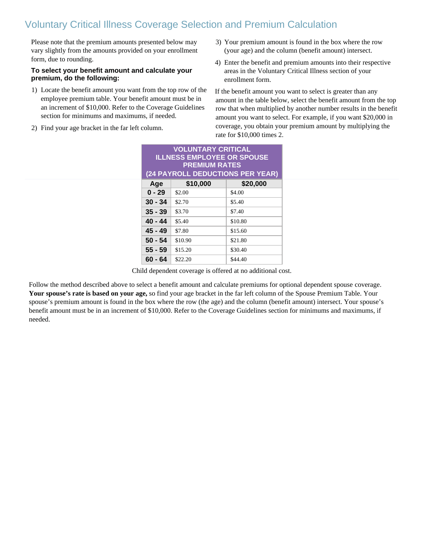## Voluntary Critical Illness Coverage Selection and Premium Calculation

Please note that the premium amounts presented below may vary slightly from the amounts provided on your enrollment form, due to rounding.

#### **To select your benefit amount and calculate your premium, do the following:**

- 1) Locate the benefit amount you want from the top row of the employee premium table. Your benefit amount must be in an increment of \$10,000. Refer to the Coverage Guidelines section for minimums and maximums, if needed.
- 2) Find your age bracket in the far left column.
- 3) Your premium amount is found in the box where the row (your age) and the column (benefit amount) intersect.
- 4) Enter the benefit and premium amounts into their respective areas in the Voluntary Critical Illness section of your enrollment form.

If the benefit amount you want to select is greater than any amount in the table below, select the benefit amount from the top row that when multiplied by another number results in the benefit amount you want to select. For example, if you want \$20,000 in coverage, you obtain your premium amount by multiplying the rate for \$10,000 times 2.

| <b>VOLUNTARY CRITICAL</b><br><b>ILLNESS EMPLOYEE OR SPOUSE</b><br><b>PREMIUM RATES</b><br>(24 PAYROLL DEDUCTIONS PER YEAR) |          |          |  |  |
|----------------------------------------------------------------------------------------------------------------------------|----------|----------|--|--|
| Age                                                                                                                        | \$10,000 | \$20,000 |  |  |
| $0 - 29$                                                                                                                   | \$2.00   | \$4.00   |  |  |
| $30 - 34$                                                                                                                  | \$2.70   | \$5.40   |  |  |
| $35 - 39$                                                                                                                  | \$3.70   | \$7.40   |  |  |
| 40 - 44                                                                                                                    | \$5.40   | \$10.80  |  |  |
| 45 - 49                                                                                                                    | \$7.80   | \$15.60  |  |  |
| $50 - 54$                                                                                                                  | \$10.90  | \$21.80  |  |  |
| $55 - 59$                                                                                                                  | \$15.20  | \$30.40  |  |  |
| 60 - 64                                                                                                                    | \$22.20  | \$44.40  |  |  |

Child dependent coverage is offered at no additional cost.

Follow the method described above to select a benefit amount and calculate premiums for optional dependent spouse coverage. **Your spouse's rate is based on your age,** so find your age bracket in the far left column of the Spouse Premium Table. Your spouse's premium amount is found in the box where the row (the age) and the column (benefit amount) intersect. Your spouse's benefit amount must be in an increment of \$10,000. Refer to the Coverage Guidelines section for minimums and maximums, if needed.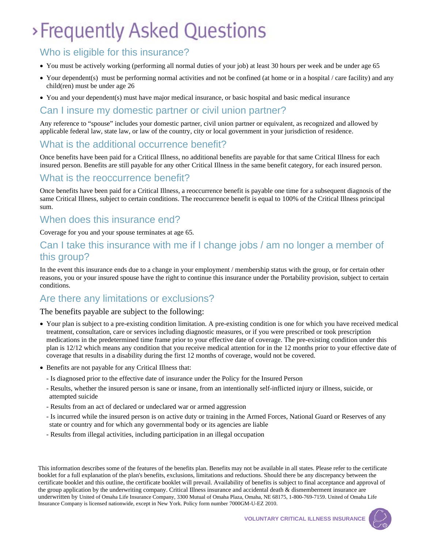# >Frequently Asked Questions

### Who is eligible for this insurance?

- You must be actively working (performing all normal duties of your job) at least 30 hours per week and be under age 65
- Your dependent(s) must be performing normal activities and not be confined (at home or in a hospital / care facility) and any child(ren) must be under age 26
- You and your dependent(s) must have major medical insurance, or basic hospital and basic medical insurance

#### Can I insure my domestic partner or civil union partner?

Any reference to "spouse" includes your domestic partner, civil union partner or equivalent, as recognized and allowed by applicable federal law, state law, or law of the country, city or local government in your jurisdiction of residence.

#### What is the additional occurrence benefit?

Once benefits have been paid for a Critical Illness, no additional benefits are payable for that same Critical Illness for each insured person. Benefits are still payable for any other Critical Illness in the same benefit category, for each insured person.

#### What is the reoccurrence benefit?

Once benefits have been paid for a Critical Illness, a reoccurrence benefit is payable one time for a subsequent diagnosis of the same Critical Illness, subject to certain conditions. The reoccurrence benefit is equal to 100% of the Critical Illness principal sum.

### When does this insurance end?

Coverage for you and your spouse terminates at age 65.

### Can I take this insurance with me if I change jobs / am no longer a member of this group?

In the event this insurance ends due to a change in your employment / membership status with the group, or for certain other reasons, you or your insured spouse have the right to continue this insurance under the Portability provision, subject to certain conditions.

#### Are there any limitations or exclusions?

#### The benefits payable are subject to the following:

- Your plan is subject to a pre-existing condition limitation. A pre-existing condition is one for which you have received medical treatment, consultation, care or services including diagnostic measures, or if you were prescribed or took prescription medications in the predetermined time frame prior to your effective date of coverage. The pre-existing condition under this plan is 12/12 which means any condition that you receive medical attention for in the 12 months prior to your effective date of coverage that results in a disability during the first 12 months of coverage, would not be covered.
- x Benefits are not payable for any Critical Illness that:
	- Is diagnosed prior to the effective date of insurance under the Policy for the Insured Person
	- Results, whether the insured person is sane or insane, from an intentionally self-inflicted injury or illness, suicide, or attempted suicide
	- Results from an act of declared or undeclared war or armed aggression
	- Is incurred while the insured person is on active duty or training in the Armed Forces, National Guard or Reserves of any state or country and for which any governmental body or its agencies are liable
	- Results from illegal activities, including participation in an illegal occupation

This information describes some of the features of the benefits plan. Benefits may not be available in all states. Please refer to the certificate booklet for a full explanation of the plan's benefits, exclusions, limitations and reductions. Should there be any discrepancy between the certificate booklet and this outline, the certificate booklet will prevail. Availability of benefits is subject to final acceptance and approval of the group application by the underwriting company. Critical Illness insurance and accidental death & dismemberment insurance are underwritten by United of Omaha Life Insurance Company, 3300 Mutual of Omaha Plaza, Omaha, NE 68175, 1-800-769-7159. United of Omaha Life Insurance Company is licensed nationwide, except in New York. Policy form number 7000GM-U-EZ 2010.